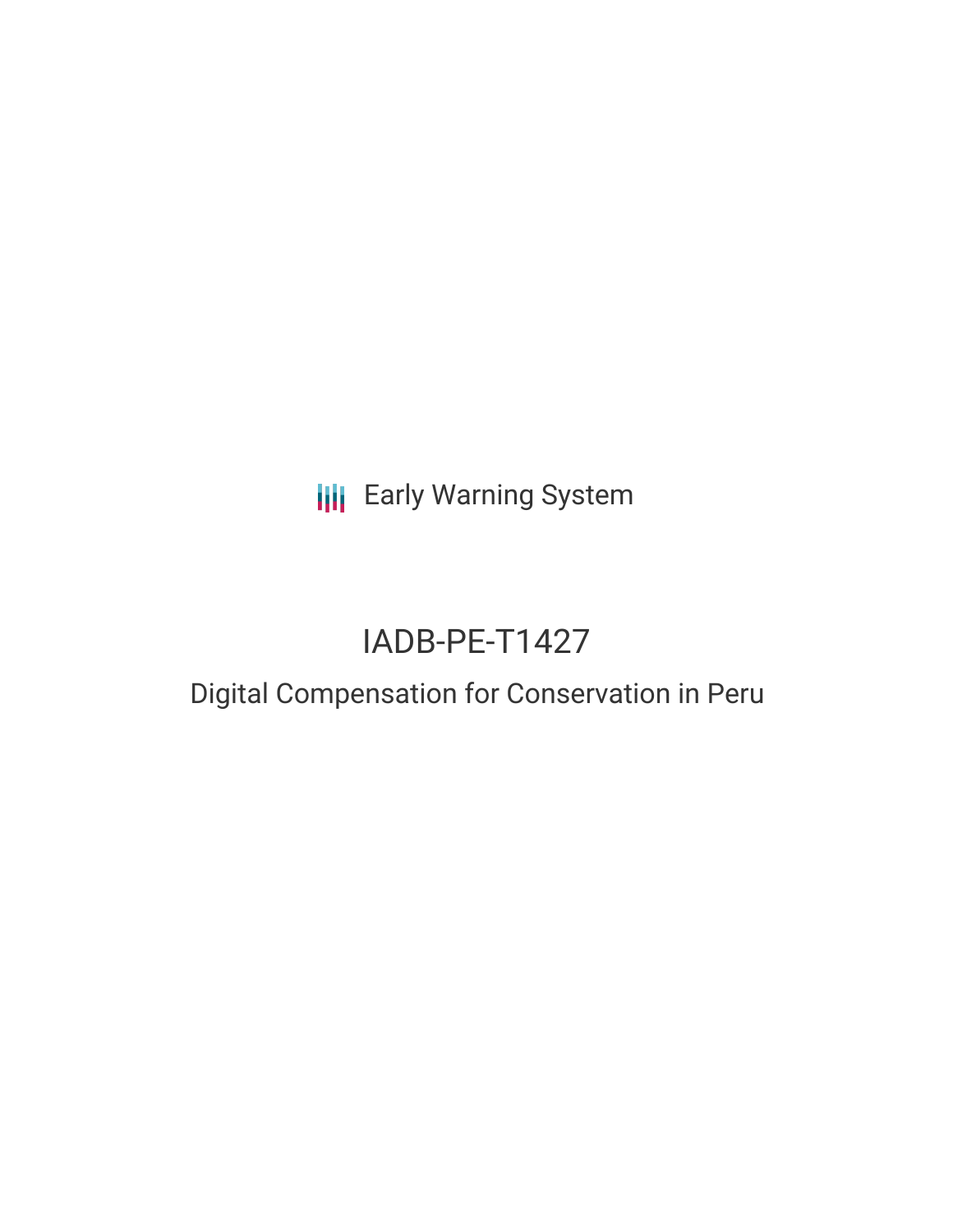**III** Early Warning System

# IADB-PE-T1427

## Digital Compensation for Conservation in Peru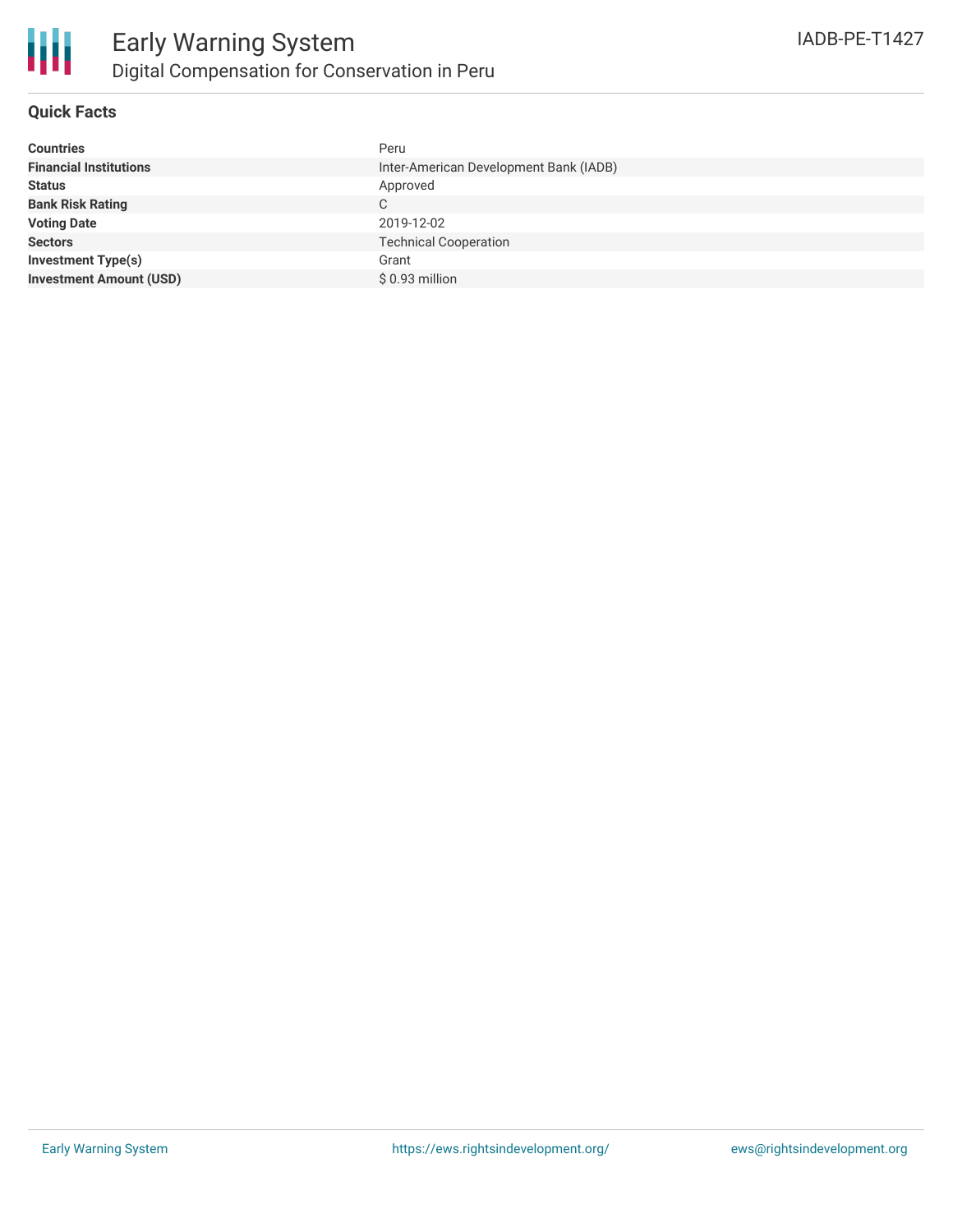### **Quick Facts**

| <b>Countries</b>               | Peru                                   |
|--------------------------------|----------------------------------------|
| <b>Financial Institutions</b>  | Inter-American Development Bank (IADB) |
| <b>Status</b>                  | Approved                               |
| <b>Bank Risk Rating</b>        | C                                      |
| <b>Voting Date</b>             | 2019-12-02                             |
| <b>Sectors</b>                 | <b>Technical Cooperation</b>           |
| <b>Investment Type(s)</b>      | Grant                                  |
| <b>Investment Amount (USD)</b> | \$ 0.93 million                        |
|                                |                                        |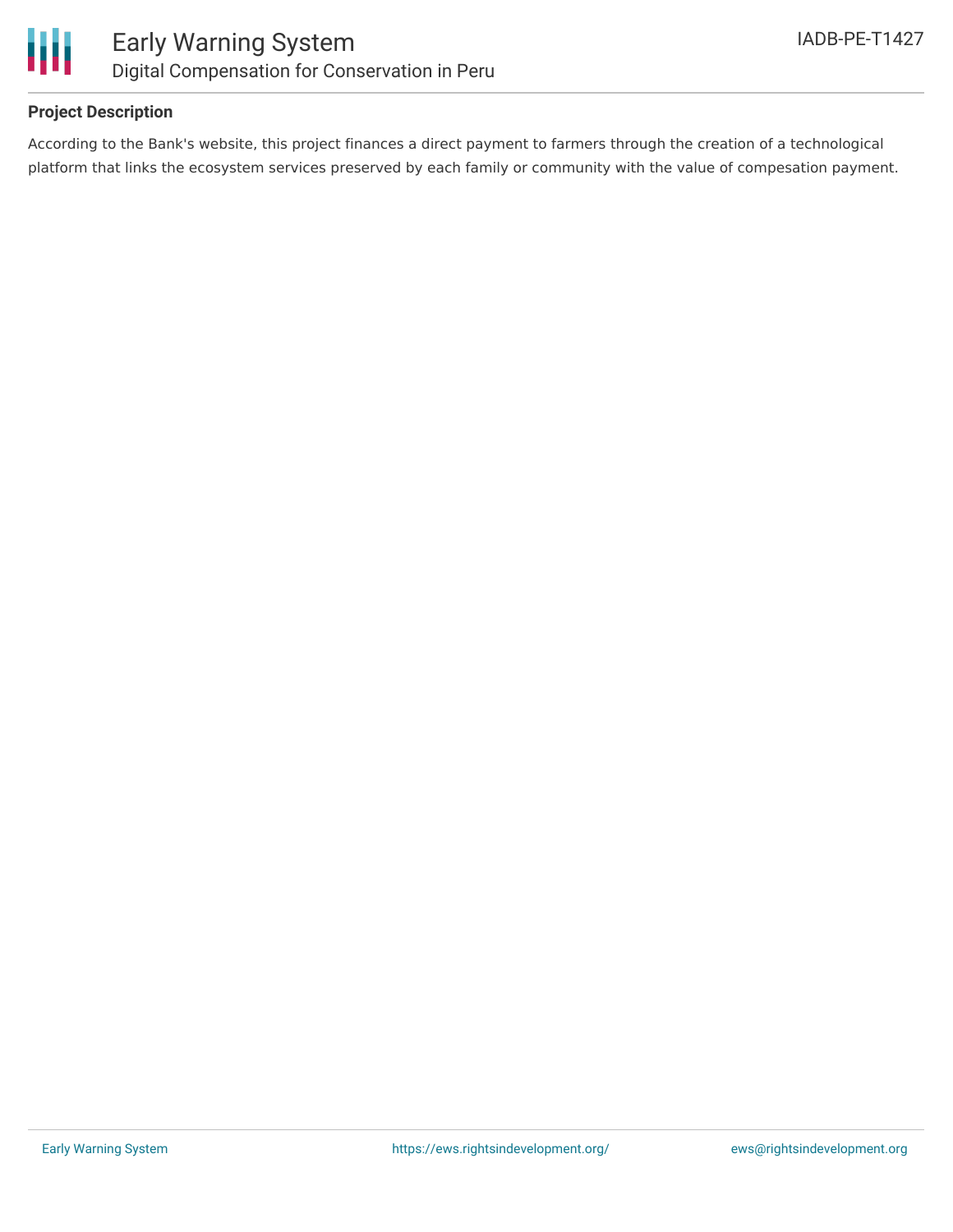

### **Project Description**

According to the Bank's website, this project finances a direct payment to farmers through the creation of a technological platform that links the ecosystem services preserved by each family or community with the value of compesation payment.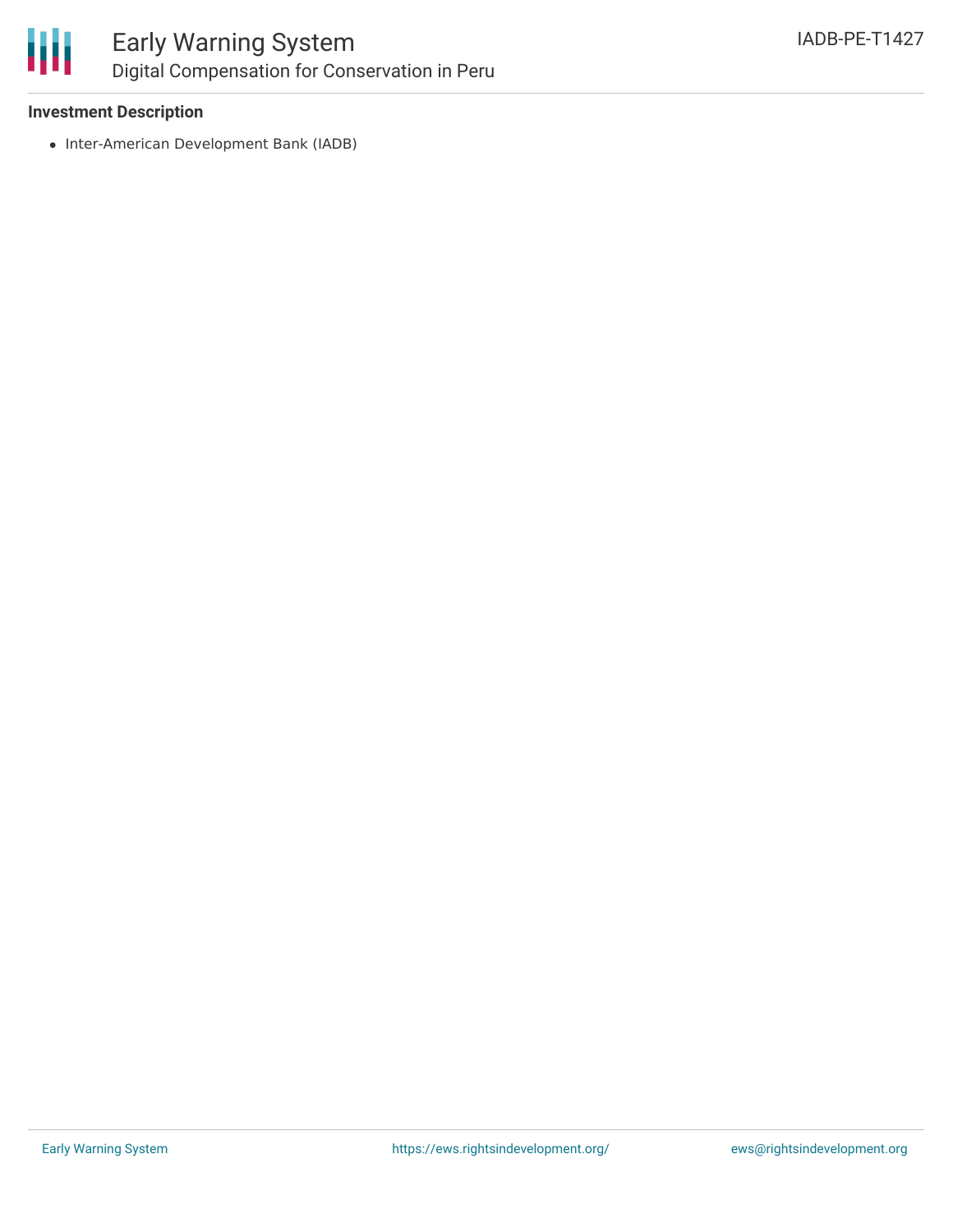

### Early Warning System Digital Compensation for Conservation in Peru

### **Investment Description**

• Inter-American Development Bank (IADB)